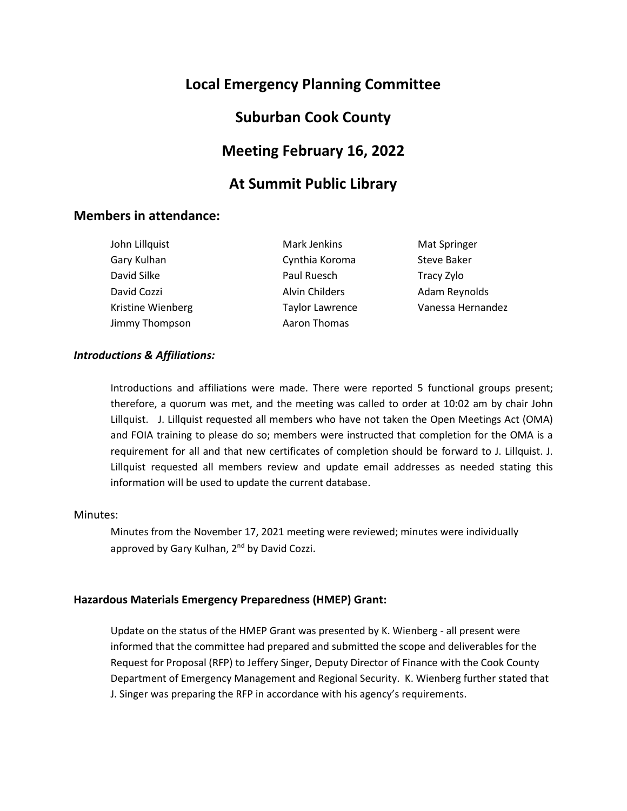# **Local Emergency Planning Committee**

## **Suburban Cook County**

## **Meeting February 16, 2022**

## **At Summit Public Library**

### **Members in attendance:**

John Lillquist Gary Kulhan David Silke David Cozzi Kristine Wienberg Jimmy Thompson

Mark Jenkins Cynthia Koroma Paul Ruesch Alvin Childers Taylor Lawrence Aaron Thomas

Mat Springer Steve Baker Tracy Zylo Adam Reynolds Vanessa Hernandez

#### *Introductions & Affiliations:*

Introductions and affiliations were made. There were reported 5 functional groups present; therefore, a quorum was met, and the meeting was called to order at 10:02 am by chair John Lillquist. J. Lillquist requested all members who have not taken the Open Meetings Act (OMA) and FOIA training to please do so; members were instructed that completion for the OMA is a requirement for all and that new certificates of completion should be forward to J. Lillquist. J. Lillquist requested all members review and update email addresses as needed stating this information will be used to update the current database.

#### Minutes:

Minutes from the November 17, 2021 meeting were reviewed; minutes were individually approved by Gary Kulhan, 2<sup>nd</sup> by David Cozzi.

#### **Hazardous Materials Emergency Preparedness (HMEP) Grant:**

Update on the status of the HMEP Grant was presented by K. Wienberg - all present were informed that the committee had prepared and submitted the scope and deliverables for the Request for Proposal (RFP) to Jeffery Singer, Deputy Director of Finance with the Cook County Department of Emergency Management and Regional Security. K. Wienberg further stated that J. Singer was preparing the RFP in accordance with his agency's requirements.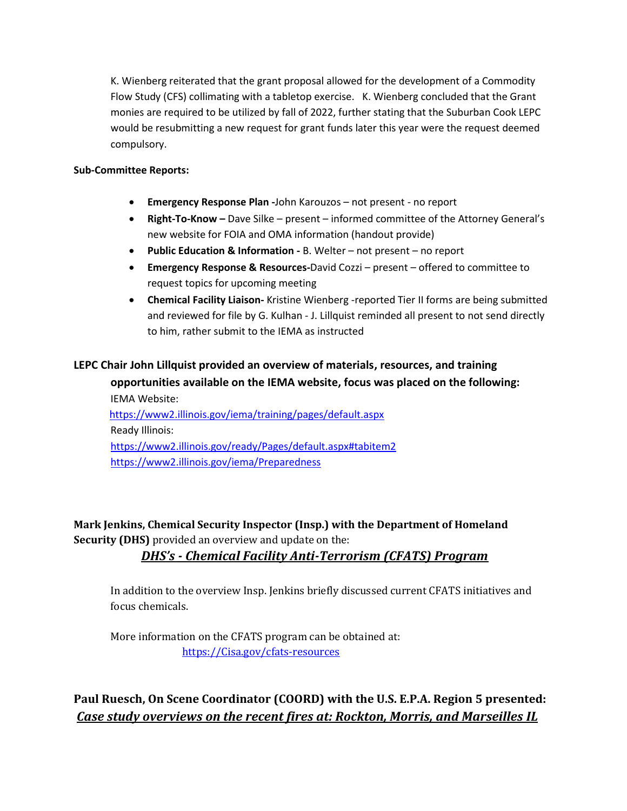K. Wienberg reiterated that the grant proposal allowed for the development of a Commodity Flow Study (CFS) collimating with a tabletop exercise. K. Wienberg concluded that the Grant monies are required to be utilized by fall of 2022, further stating that the Suburban Cook LEPC would be resubmitting a new request for grant funds later this year were the request deemed compulsory.

#### **Sub-Committee Reports:**

- **Emergency Response Plan -**John Karouzos not present no report
- **Right-To-Know –** Dave Silke present informed committee of the Attorney General's new website for FOIA and OMA information (handout provide)
- **Public Education & Information -** B. Welter not present no report
- **Emergency Response & Resources-**David Cozzi present offered to committee to request topics for upcoming meeting
- **Chemical Facility Liaison-** Kristine Wienberg -reported Tier II forms are being submitted and reviewed for file by G. Kulhan - J. Lillquist reminded all present to not send directly to him, rather submit to the IEMA as instructed

# **LEPC Chair John Lillquist provided an overview of materials, resources, and training**

**opportunities available on the IEMA website, focus was placed on the following:** IEMA Website:

 https://www2.illinois.gov/iema/training/pages/default.aspx Ready Illinois: https://www2.illinois.gov/ready/Pages/default.aspx#tabitem2 https://www2.illinois.gov/iema/Preparedness

**Mark Jenkins, Chemical Security Inspector (Insp.) with the Department of Homeland Security (DHS)** provided an overview and update on the:

## *DHS's - Chemical Facility Anti-Terrorism (CFATS) Program*

In addition to the overview Insp. Jenkins briefly discussed current CFATS initiatives and focus chemicals.

More information on the CFATS program can be obtained at: https://Cisa.gov/cfats-resources

**Paul Ruesch, On Scene Coordinator (COORD) with the U.S. E.P.A. Region 5 presented:**  *Case study overviews on the recent fires at: Rockton, Morris, and Marseilles IL*